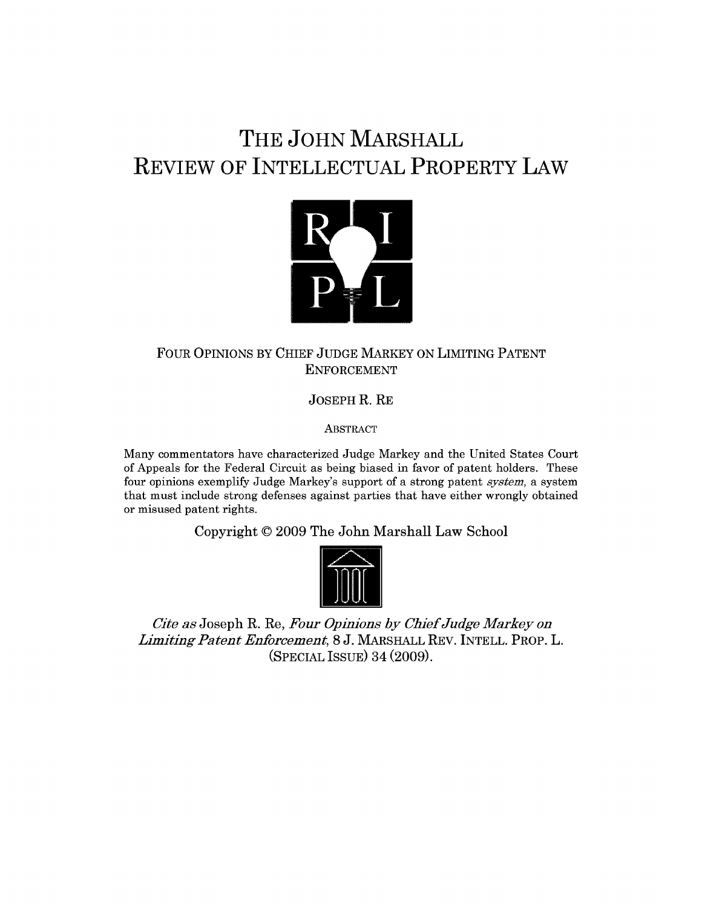## **THE JOHN MARSHALL REVIEW OF INTELLECTUAL PROPERTY LAW**



## FOUR OPINIONS BY CHIEF JUDGE MARKEY ON LIMITING PATENT ENFORCEMENT

**JOSEPH** R. RE

ABSTRACT

Many commentators have characterized Judge Markey and the United States Court of Appeals for the Federal Circuit as being biased in favor of patent holders. These four opinions exemplify Judge Markey's support of a strong patent *system,* a system that must include strong defenses against parties that have either wrongly obtained or misused patent rights.

Copyright **© 2009** The John Marshall Law School



*Cite as* Joseph R. Re, *Four*  **M** *Opinions by Chief Judge Markey on Limiting Patent Enforcement,* 8 J. MARSHALL REV. INTELL. PROP. L. (SPECIAL ISSUE) 34 (2009).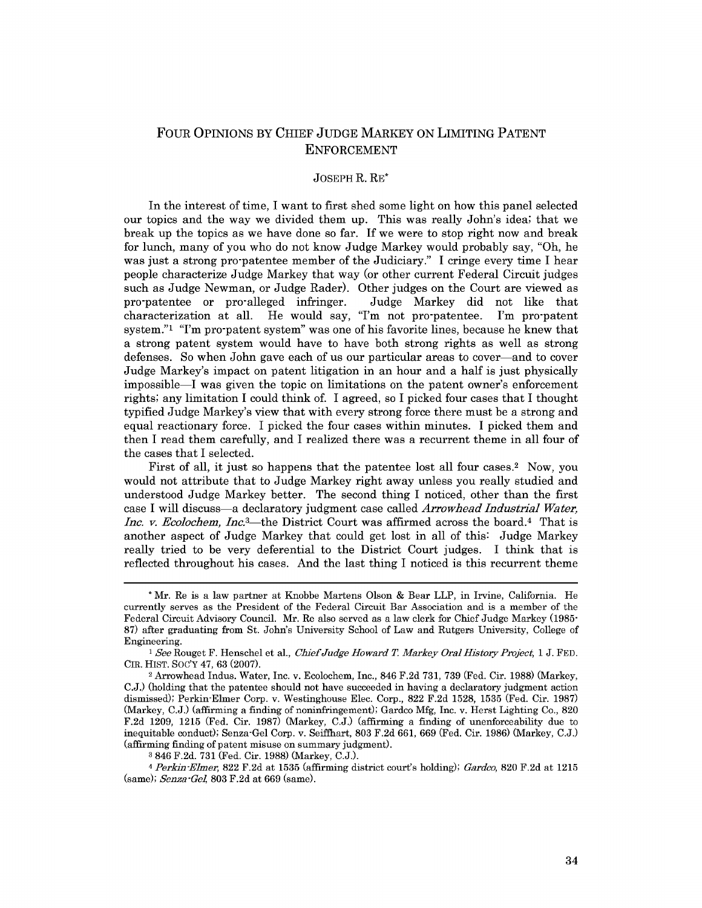## FOUR OPINIONS BY CHIEF JUDGE MARKEY ON LIMITING PATENT ENFORCEMENT

## JOSEPH R. RE\*

In the interest of time, I want to first shed some light on how this panel selected our topics and the way we divided them up. This was really John's idea; that we break up the topics as we have done so far. If we were to stop right now and break for lunch, many of you who do not know Judge Markey would probably say, "Oh, he was just a strong pro-patentee member of the Judiciary." I cringe every time I hear people characterize Judge Markey that way (or other current Federal Circuit judges such as Judge Newman, or Judge Rader). Other judges on the Court are viewed as<br>pro-patentee or pro-alleged infringer. Judge Markey did not like that pro-patentee or pro-alleged infringer. characterization at all. He would say, "I'm not pro-patentee. I'm pro-patent system."1 "I'm pro-patent system" was one of his favorite lines, because he knew that a strong patent system would have to have both strong rights as well as strong defenses. So when John gave each of us our particular areas to cover-and to cover Judge Markey's impact on patent litigation in an hour and a half is just physically impossible-I was given the topic on limitations on the patent owner's enforcement rights; any limitation I could think of. I agreed, so I picked four cases that I thought typified Judge Markey's view that with every strong force there must be a strong and equal reactionary force. I picked the four cases within minutes. I picked them and then I read them carefully, and I realized there was a recurrent theme in all four of the cases that I selected.

First of all, it just so happens that the patentee lost all four cases.2 Now, you would not attribute that to Judge Markey right away unless you really studied and understood Judge Markey better. The second thing I noticed, other than the first case I will discuss-a declaratory judgment case called *Arrowhead Industrial Water, Inc. v. Ecolochem, Inc.*<sup>3</sup>—the District Court was affirmed across the board.<sup>4</sup> That is another aspect of Judge Markey that could get lost in all of this: Judge Markey really tried to be very deferential to the District Court judges. I think that is reflected throughout his cases. And the last thing I noticed is this recurrent theme

**3** 846 F.2d. 731 (Fed. Cir. 1988) (Markey, C.J.).

<sup>4</sup>*Perkin-Elmer,* 822 F.2d at 1535 (affirming district court's holding); *Gardco,* 820 F.2d at 1215 (same); *Senza-Gel,* 803 F.2d at 669 (same).

<sup>\*</sup> Mr. Re is a law partner at Knobbe Martens Olson & Bear LLP, in Irvine, California. He currently serves as the President of the Federal Circuit Bar Association and is a member of the Federal Circuit Advisory Council. Mr. Re also served as a law clerk for Chief Judge Markey (1985- 87) after graduating from St. John's University School of Law and Rutgers University, College of Engineering.

<sup>1</sup> See Rouget F. Henschel et al., *Chief Judge Howard T Markey Oral History Project,* 1 J. FED. CIR. HIST. Soc'y 47, 63 (2007). <sup>2</sup> Arrowhead Indus. Water, Inc. v. Ecolochem, Inc., 846 F.2d 731, 739 (Fed. Cir. 1988) (Markey,

C.J.) (holding that the patentee should not have succeeded in having a declaratory judgment action dismissed); Perkin-Elmer Corp. v. Westinghouse Elec. Corp., 822 F.2d 1528, 1535 (Fed. Cir. 1987) (Markey, C.J.) (affirming a finding of noninfringement); Gardco Mfg, Inc. v. Herst Lighting Co., 820 F.2d 1209, 1215 (Fed. Cir. 1987) (Markey, C.J.) (affirming a finding of unenforceability due to inequitable conduct); Senza-Gel Corp. v. Seiffhart, 803 F.2d 661, 669 (Fed. Cir. 1986) (Markey, C.J.) (affirming finding of patent misuse on summary judgment).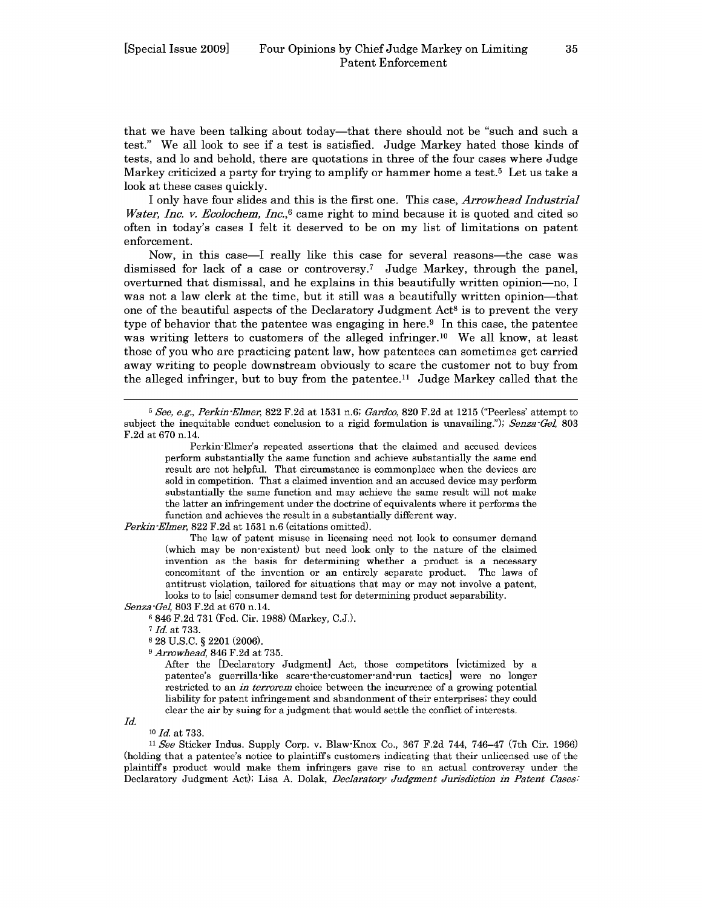that we have been talking about today-that there should not be "such and such a test." We all look to see if a test is satisfied. Judge Markey hated those kinds of tests, and lo and behold, there are quotations in three of the four cases where Judge Markey criticized a party for trying to amplify or hammer home a test.5 Let us take a look at these cases quickly.

I only have four slides and this is the first one. This case, *Arrowhead Industrial Water, Inc. v. Ecolochem, Inc.*,<sup>6</sup> came right to mind because it is quoted and cited so often in today's cases I felt it deserved to be on my list of limitations on patent enforcement.

Now, in this case-I really like this case for several reasons-the case was dismissed for lack of a case or controversy.<sup>7</sup> Judge Markey, through the panel, overturned that dismissal, and he explains in this beautifully written opinion-no, I was not a law clerk at the time, but it still was a beautifully written opinion—that one of the beautiful aspects of the Declaratory Judgment  $Act^8$  is to prevent the very type of behavior that the patentee was engaging in here.<sup>9</sup> In this case, the patentee was writing letters to customers of the alleged infringer.<sup>10</sup> We all know, at least those of you who are practicing patent law, how patentees can sometimes get carried away writing to people downstream obviously to scare the customer not to buy from the alleged infringer, but to buy from the patentee.<sup>11</sup> Judge Markey called that the

*5 See, e.g., Perkin-Elmer,* 822 F.2d at 1531 n.6; *Gardo,* 820 F.2d at 1215 ("Peerless' attempt to subject the inequitable conduct conclusion to a rigid formulation is unavailing."); *Senza-Gel,* 803 F.2d at 670 n.14.

*Perkin-Elmer,* 822 F.2d at 1531 n.6 (citations omitted).

The law of patent misuse in licensing need not look to consumer demand (which may be non-existent) but need look only to the nature of the claimed invention as the basis for determining whether a product is a necessary concomitant of the invention or an entirely separate product. The laws of antitrust violation, tailored for situations that may or may not involve a patent, looks to to [sic] consumer demand test for determining product separability. *Senza -Gel,* 803 F.2d at 670 n.14.

<sup>6</sup>846 F.2d 731 (Fed. Cir. 1988) (Markey, C.J.).

8 28 U.S.C. § 2201 (2006).

*9 Arrowhead,* 846 F.2d at 735.

After the [Declaratory Judgment] Act, those competitors [victimized by a patentee's guerrilla-like scare-the-customer-and-run tactics] were no longer restricted to an *in terrorem* choice between the incurrence of a growing potential liability for patent infringement and abandonment of their enterprises; they could clear the air by suing for a judgment that would settle the conflict of interests.

*Id.*

**10** *Id.* at 733.

*11 See* Sticker Indus. Supply Corp. v. Blaw-Knox Co., 367 F.2d 744, 746-47 (7th Cir. 1966) (holding that a patentee's notice to plaintiffs customers indicating that their unlicensed use of the plaintiffs product would make them infringers gave rise to an actual controversy under the Declaratory Judgment Act); Lisa A. Dolak, *Declaratory Judgment Jurisdiction in Patent Cases:*

Perkin-Elmer's repeated assertions that the claimed and accused devices perform substantially the same function and achieve substantially the same end result are not helpful. That circumstance is commonplace when the devices are sold in competition. That a claimed invention and an accused device may perform substantially the same function and may achieve the same result will not make the latter an infringement under the doctrine of equivalents where it performs the function and achieves the result in a substantially different way.

*<sup>7</sup> Id.* at 733.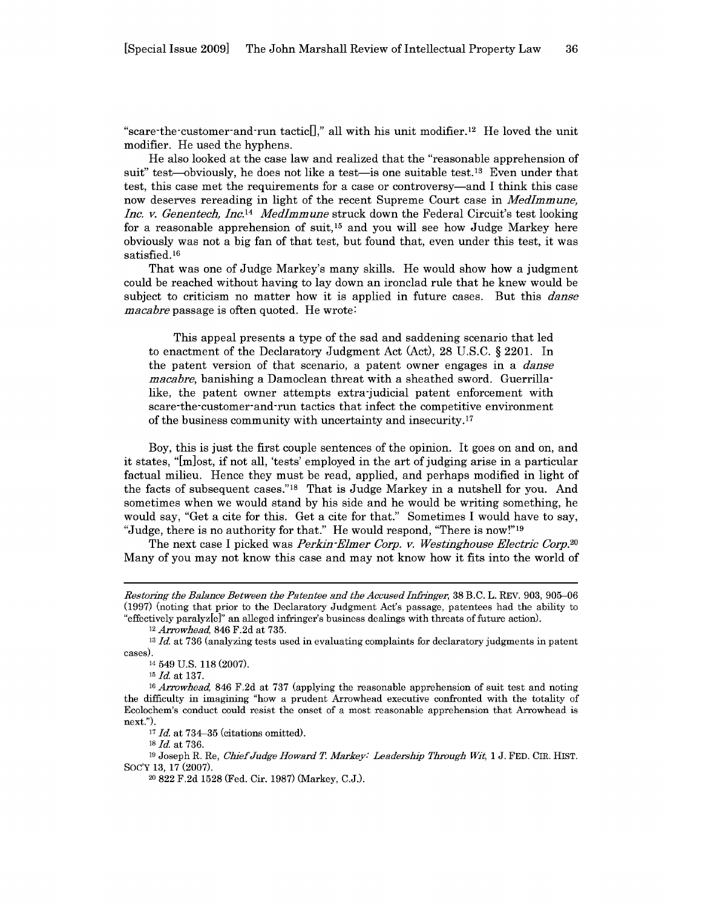"scare-the-customer-and-run tactic<sup>[]</sup>," all with his unit modifier.<sup>12</sup> He loved the unit modifier. He used the hyphens.

He also looked at the case law and realized that the "reasonable apprehension of suit" test—obviously, he does not like a test—is one suitable test.<sup>13</sup> Even under that test, this case met the requirements for a case or controversy-and I think this case now deserves rereading in light of the recent Supreme Court case in *Medlmmune, Inc. v. Genentech, Inc. 14 MedImmune* struck down the Federal Circuit's test looking for a reasonable apprehension of suit,  $15$  and you will see how Judge Markey here obviously was not a big fan of that test, but found that, even under this test, it was satisfied. <sup>16</sup>

That was one of Judge Markey's many skills. He would show how a judgment could be reached without having to lay down an ironclad rule that he knew would be subject to criticism no matter how it is applied in future cases. But this *danse macabre* passage is often quoted. He wrote:

This appeal presents a type of the sad and saddening scenario that led to enactment of the Declaratory Judgment Act (Act), 28 U.S.C. § 2201. In the patent version of that scenario, a patent owner engages in a *danse macabre,* banishing a Damoclean threat with a sheathed sword. Guerrillalike, the patent owner attempts extra-judicial patent enforcement with scare-the-customer-and-run tactics that infect the competitive environment of the business community with uncertainty and insecurity. <sup>17</sup>

Boy, this is just the first couple sentences of the opinion. It goes on and on, and it states, "[m]ost, if not all, 'tests' employed in the art of judging arise in a particular factual milieu. Hence they must be read, applied, and perhaps modified in light of the facts of subsequent cases."'18 That is Judge Markey in a nutshell for you. And sometimes when we would stand by his side and he would be writing something, he would say, "Get a cite for this. Get a cite for that." Sometimes I would have to say, "Judge, there is no authority for that." He would respond, "There is now!"<sup>19</sup>

The next case I picked was *Perkin-Elmer Corp. v. Westinghouse Electric Corp.20* Many of you may not know this case and may not know how it fits into the world of

<sup>18</sup>*Id.* at 736.

*Restoring the Balance Between the Patentee and the Accused Infringer,* **38** B.C. L. REV. **903, 905-06** (1997) (noting that prior to the Declaratory Judgment Act's passage, patentees had the ability to "effectively paralyz[e]" an alleged infringer's business dealings with threats of future action).

*<sup>12</sup> Arrowhead,* 846 F.2d at 735.

*<sup>13</sup> Id.* at 736 (analyzing tests used in evaluating complaints for declaratory judgments in patent cases).

<sup>14 549</sup> U.S. 118 (2007).

<sup>15</sup>*Id.* at 137. *16 Arrowhead,* 846 F.2d at 737 (applying the reasonable apprehension of suit test and noting the difficulty in imagining "how a prudent Arrowhead executive confronted with the totality of Ecolochem's conduct could resist the onset of a most reasonable apprehension that Arrowhead is next.").

<sup>17</sup>*Id.* at 734-35 (citations omitted).

<sup>19</sup> Joseph R. Re, *Chief Judge Howard T. Markey: Leadership Through Wit,* 1 J. FED. CIR. HIST. SOC'Y 13, 17 (2007).

<sup>20 822</sup> F.2d 1528 (Fed. Cir. 1987) (Markey, C.J.).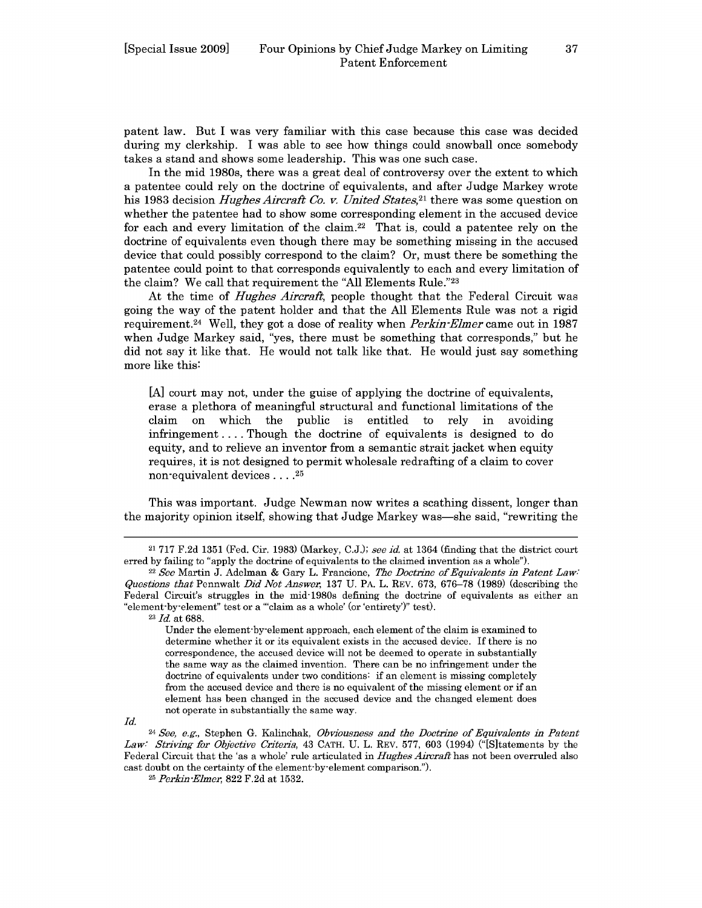patent law. But I was very familiar with this case because this case was decided during my clerkship. I was able to see how things could snowball once somebody takes a stand and shows some leadership. This was one such case.

In the mid 1980s, there was a great deal of controversy over the extent to which a patentee could rely on the doctrine of equivalents, and after Judge Markey wrote his 1983 decision *Hughes Aircraft Co. v. United States*<sup>21</sup> there was some question on whether the patentee had to show some corresponding element in the accused device for each and every limitation of the claim.<sup>22</sup> That is, could a patentee rely on the doctrine of equivalents even though there may be something missing in the accused device that could possibly correspond to the claim? Or, must there be something the patentee could point to that corresponds equivalently to each and every limitation of the claim? We call that requirement the "All Elements Rule."<sup>23</sup>

At the time of *Hughes Aircraft,* people thought that the Federal Circuit was going the way of the patent holder and that the All Elements Rule was not a rigid requirement. 24 Well, they got a dose of reality when *Perkin-Elmer* came out in 1987 when Judge Markey said, "yes, there must be something that corresponds," but he did not say it like that. He would not talk like that. He would just say something more like this:

[A] court may not, under the guise of applying the doctrine of equivalents, erase a plethora of meaningful structural and functional limitations of the claim on which the public is entitled to rely in avoiding infringement .... Though the doctrine of equivalents is designed to do equity, and to relieve an inventor from a semantic strait jacket when equity requires, it is not designed to permit wholesale redrafting of a claim to cover non-equivalent devices . ... **<sup>2</sup>**

This was important. Judge Newman now writes a scathing dissent, longer than the majority opinion itself, showing that Judge Markey was—she said, "rewriting the

**<sup>23</sup>***Id.* at 688.

Under the element-by-element approach, each element of the claim is examined to determine whether it or its equivalent exists in the accused device. If there is no correspondence, the accused device will not be deemed to operate in substantially the same way as the claimed invention. There can be no infringement under the doctrine of equivalents under two conditions: if an element is missing completely from the accused device and there is no equivalent of the missing element or if an element has been changed in the accused device and the changed element does not operate in substantially the same way.

*Id.*

<sup>24</sup>*See, e.g.,* Stephen G. Kalinchak, *Obviousness and the Doctrine of Equivalents in Patent Law: Striving for Objective Criteria,* 43 CATH. U. L. REV. 577, 603 (1994) ("[Sltatements by the Federal Circuit that the 'as a whole' rule articulated in *Hughes Aircraft* has not been overruled also cast doubt on the certainty of the element-by-element comparison.").

**25** *Perkin-Elmer,* 822 F.2d at 1532.

<sup>21</sup>717 F.2d 1351 (Fed. Cir. 1983) (Markey, C.J.); *see id.* at 1364 (finding that the district court erred by failing to "apply the doctrine of equivalents to the claimed invention as a whole").

<sup>22</sup>*See* Martin J. Adelman & Gary L. Francione, *The Doctrine of Equivalents in Patent Law: Questions that* Pennwalt *Did Not Answer,* 137 U. PA. L. REV. 673, 676-78 (1989) (describing the Federal Circuit's struggles in the mid-1980s defining the doctrine of equivalents as either an "element-by-element" test or a "claim as a whole' (or 'entirety')" test).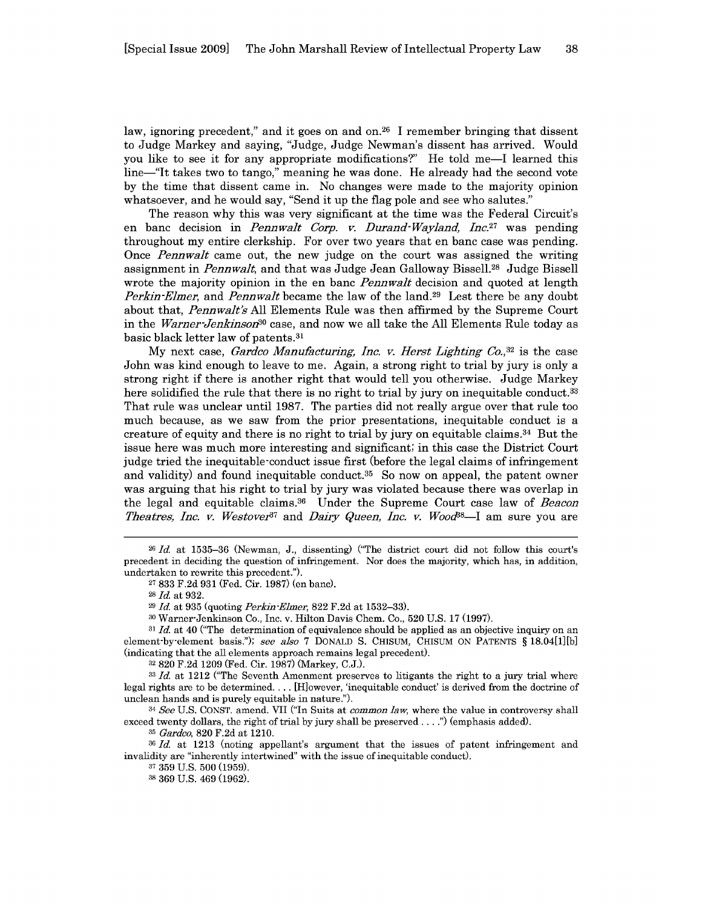law, ignoring precedent," and it goes on and on.<sup>26</sup> I remember bringing that dissent to Judge Markey and saying, "Judge, Judge Newman's dissent has arrived. Would you like to see it for any appropriate modifications?" He told me-I learned this line—"It takes two to tango," meaning he was done. He already had the second vote by the time that dissent came in. No changes were made to the majority opinion whatsoever, and he would say, "Send it up the flag pole and see who salutes."

The reason why this was very significant at the time was the Federal Circuit's en bane decision in *Pennwalt Corp. v. Durand-Wayland,* Inc.27 was pending throughout my entire clerkship. For over two years that en bane case was pending. Once *Pennwalt* came out, the new judge on the court was assigned the writing assignment in *Pennwalt,* and that was Judge Jean Galloway Bissell. 28 Judge Bissell wrote the majority opinion in the en bane *Pennwalt* decision and quoted at length *Perkin-Elmer,* and *Pennwalt* became the law of the land.<sup>29</sup> Lest there be any doubt about that, *Pennwalt's* All Elements Rule was then affirmed by the Supreme Court in the *Warner-Jenkinson30* case, and now we all take the All Elements Rule today as basic black letter law of patents.31

My next case, *Gardco Manufacturing, Inc. v. Herst* Lighting *Co., <sup>32</sup>*is the case John was kind enough to leave to me. Again, a strong right to trial by jury is only a strong right if there is another right that would tell you otherwise. Judge Markey here solidified the rule that there is no right to trial by jury on inequitable conduct.<sup>33</sup> That rule was unclear until 1987. The parties did not really argue over that rule too much because, as we saw from the prior presentations, inequitable conduct is a creature of equity and there is no right to trial by jury on equitable claims.  $34$  But the issue here was much more interesting and significant; in this case the District Court judge tried the inequitable-conduct issue first (before the legal claims of infringement and validity) and found inequitable conduct.35 So now on appeal, the patent owner was arguing that his right to trial by jury was violated because there was overlap in the legal and equitable claims. 36 Under the Supreme Court case law of *Beacon Theatres, Inc. v. Westover*<sup>87</sup> and *Dairy Queen, Inc. v. Wood*<sup>88</sup>—I am sure you are

**<sup>31</sup>***Id.* at 40 ("The determination of equivalence should be applied as an objective inquiry on an element-by-element basis."); *see also* 7 DONALD S. CHISUM, CHISUM ON PATENTS § 18.04[1][b] (indicating that the all elements approach remains legal precedent).

<sup>34</sup>*See* U.S. CONST. amend. VII ("In Suits at *common law,* where the value in controversy shall exceed twenty dollars, the right of trial by jury shall be preserved **.. ")** (emphasis added).

**<sup>35</sup>***Gardco,* 820 F.2d at 1210.

**<sup>36</sup>***Id.* at 1213 (noting appellant's argument that the issues of patent infringement and invalidity are "inherently intertwined" with the issue of inequitable conduct).

**<sup>26</sup>***Id.* at 1535-36 (Newman, J., dissenting) ("The district court did not follow this court's precedent in deciding the question of infringement. Nor does the majority, which has, in addition, undertaken to rewrite this precedent.").

**<sup>27</sup>**833 F.2d 931 (Fed. Cir. 1987) (en bane).

**<sup>28</sup>***Id.* at 932.

**<sup>29</sup>***Id.* at 935 (quoting *Perkin-Elmer,* 822 F.2d at 1532-33).

**<sup>30</sup>**Warner-Jenkinson Co., Inc. v. Hilton Davis Chem. Co., 520 U.S. 17 (1997).

**<sup>32</sup>**820 F.2d 1209 (Fed. Cir. 1987) (Markey, C.J.).

**<sup>33</sup>***Id.* at 1212 ("The Seventh Amenment preserves to litigants the right to a jury trial where legal rights are to be determined **....** [H]owever, 'inequitable conduct' is derived from the doctrine of unclean hands and is purely equitable in nature.").

**<sup>37</sup>** 359 U.S. 500 (1959).

**<sup>38</sup>** 369 U.S. 469 (1962).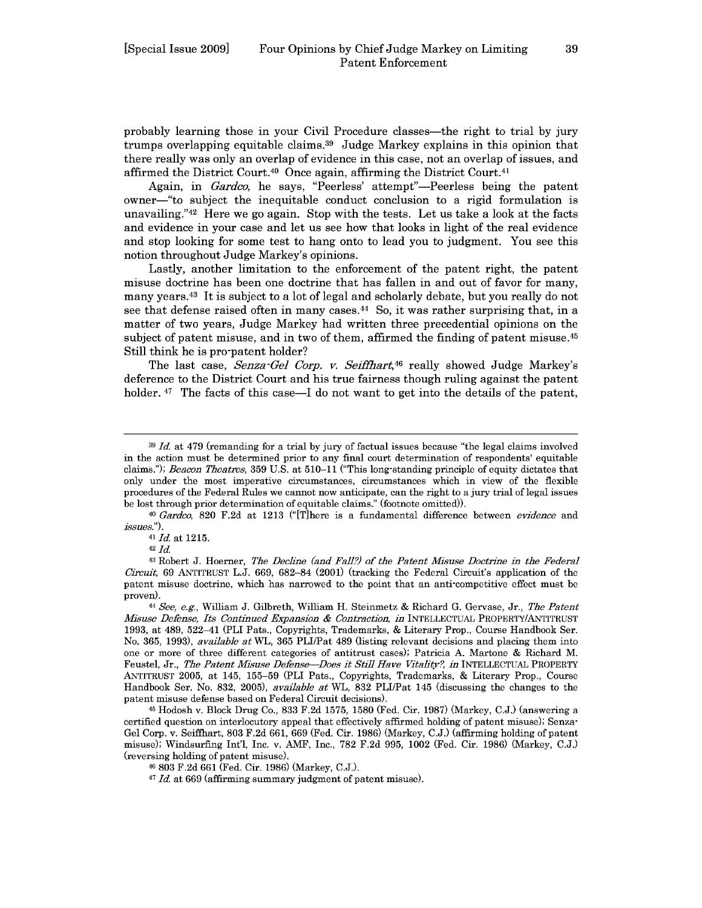probably learning those in your Civil Procedure classes-the right to trial by jury trumps overlapping equitable claims. 39 Judge Markey explains in this opinion that there really was only an overlap of evidence in this case, not an overlap of issues, and affirmed the District Court.<sup>40</sup> Once again, affirming the District Court.<sup>41</sup>

Again, in *Gardco*, he says, "Peerless' attempt"—Peerless being the patent owner-"to subject the inequitable conduct conclusion to a rigid formulation is unavailing."42 Here we go again. Stop with the tests. Let us take a look at the facts and evidence in your case and let us see how that looks in light of the real evidence and stop looking for some test to hang onto to lead you to judgment. You see this notion throughout Judge Markey's opinions.

Lastly, another limitation to the enforcement of the patent right, the patent misuse doctrine has been one doctrine that has fallen in and out of favor for many, many years. 43 It is subject to a lot of legal and scholarly debate, but you really do not see that defense raised often in many cases. 44 So, it was rather surprising that, in a matter of two years, Judge Markey had written three precedential opinions on the subject of patent misuse, and in two of them, affirmed the finding of patent misuse.<sup>45</sup> Still think he is pro-patent holder?

The last case, *Senza-Gel Corp. v. Seiffhart,46* really showed Judge Markey's deference to the District Court and his true fairness though ruling against the patent holder.  $47$  The facts of this case—I do not want to get into the details of the patent,

**<sup>39</sup>***Id.* at 479 (remanding for a trial by jury of factual issues because "the legal claims involved in the action must be determined prior to any final court determination of respondents' equitable claims."); *Beacon Theatres,* 359 U.S. at 510-11 ("This long-standing principle of equity dictates that only under the most imperative circumstances, circumstances which in view of the flexible procedures of the Federal Rules we cannot now anticipate, can the right to a jury trial of legal issues be lost through prior determination of equitable claims." (footnote omitted)).

<sup>40</sup>*Gardeo,* 820 F.2d at 1213 ("[T]here is a fundamental difference between *evidence* and *issues.").*

<sup>41</sup>*Id.* at 1215.

**<sup>42</sup>** *Id*

**<sup>43</sup>**Robert **J.** Hoerner, The Declne (and Fall?) of the Patent Misuse *Doctrine* in the Federal *Circuit,* 69 ANTITRUST L.J. 669, 682-84 (2001) (tracking the Federal Circuit's application of the patent misuse doctrine, which has narrowed to the point that an anti-competitive effect must be proven).

**<sup>44</sup>** *See, e.g.,* William J. Gilbreth, William H. Steinmetz & Richard G. Gervase, Jr., *The Patent Misuse Defense, Its Continued Expansion & Contraction, in* INTELLECTUAL PROPERTY/ANTITRUST 1993, at 489, 522-41 (PLI Pats., Copyrights, Trademarks, & Literary Prop., Course Handbook Ser. No. 365, 1993), *available at* WL, 365 PLI/Pat 489 (listing relevant decisions and placing them into one or more of three different categories of antitrust cases); Patricia A. Martone & Richard M. Feustel, Jr., *The Patent Misuse Defense-Does it Still Have Vitality?, in* INTELLECTUAL PROPERTY ANTITRUST 2005, at 145, 155-59 (PLI Pats., Copyrights, Trademarks, & Literary Prop., Course Handbook Ser. No. 832, 2005), *available at* WL, 832 PLI/Pat 145 (discussing the changes to the patent misuse defense based on Federal Circuit decisions).

<sup>45</sup> Hodosh v. Block Drug Co., 833 F.2d 1575, 1580 (Fed. Cir. 1987) (Markey, C.J.) (answering a certified question on interlocutory appeal that effectively affirmed holding of patent misuse); Senza-Gel Corp. v. Seiffhart, 803 F.2d 661, 669 (Fed. Cir. 1986) (Markey, C.J.) (affirming holding of patent misuse); Windsurfing Int'l, Inc. v. AMF, Inc., 782 F.2d 995, 1002 (Fed. Cir. 1986) (Markey, C.J.) (reversing holding of patent misuse).

<sup>46</sup> 803 F.2d 661 (Fed. Cir. 1986) (Markey, C.J.).

<sup>47</sup> *Id* at 669 (affirming summary judgment of patent misuse).